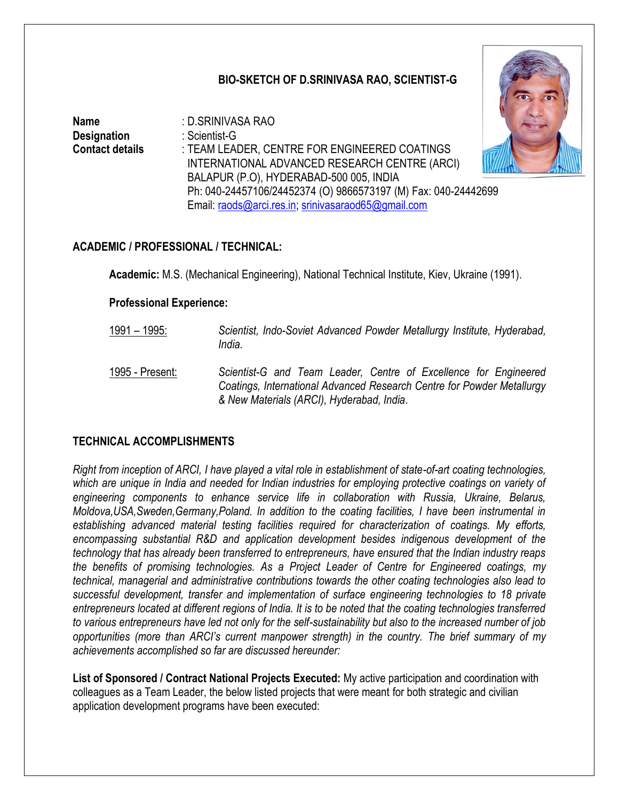### **BIO-SKETCH OF D.SRINIVASA RAO, SCIENTIST-G**

**Name** : D.SRINIVASA RAO **Designation** : Scientist-G **Contact details** : TEAM LEADER, CENTRE FOR ENGINEERED COATINGS INTERNATIONAL ADVANCED RESEARCH CENTRE (ARCI) BALAPUR (P.O), HYDERABAD-500 005, INDIA Ph: 040-24457106/24452374 (O) 9866573197 (M) Fax: 040-24442699 Email: [raods@arci.res.in;](mailto:raods@arci.res.in) [srinivasaraod65@gmail.com](mailto:srinivasaraod65@gmail.com)



## **ACADEMIC / PROFESSIONAL / TECHNICAL:**

**Academic:** M.S. (Mechanical Engineering), National Technical Institute, Kiev, Ukraine (1991).

#### **Professional Experience:**

- 1991 1995: *Scientist, Indo-Soviet Advanced Powder Metallurgy Institute, Hyderabad, India.*
- 1995 Present: *Scientist-G and Team Leader, Centre of Excellence for Engineered Coatings, International Advanced Research Centre for Powder Metallurgy & New Materials (ARCI), Hyderabad, India*.

### **TECHNICAL ACCOMPLISHMENTS**

*Right from inception of ARCI, I have played a vital role in establishment of state-of-art coating technologies,*  which are unique in India and needed for Indian industries for employing protective coatings on variety of *engineering components to enhance service life in collaboration with Russia, Ukraine, Belarus, Moldova,USA,Sweden,Germany,Poland. In addition to the coating facilities, I have been instrumental in establishing advanced material testing facilities required for characterization of coatings. My efforts, encompassing substantial R&D and application development besides indigenous development of the technology that has already been transferred to entrepreneurs, have ensured that the Indian industry reaps the benefits of promising technologies. As a Project Leader of Centre for Engineered coatings, my technical, managerial and administrative contributions towards the other coating technologies also lead to successful development, transfer and implementation of surface engineering technologies to 18 private entrepreneurs located at different regions of India. It is to be noted that the coating technologies transferred to various entrepreneurs have led not only for the self-sustainability but also to the increased number of job opportunities (more than ARCI's current manpower strength) in the country. The brief summary of my achievements accomplished so far are discussed hereunder:* 

**List of Sponsored / Contract National Projects Executed:** My active participation and coordination with colleagues as a Team Leader, the below listed projects that were meant for both strategic and civilian application development programs have been executed: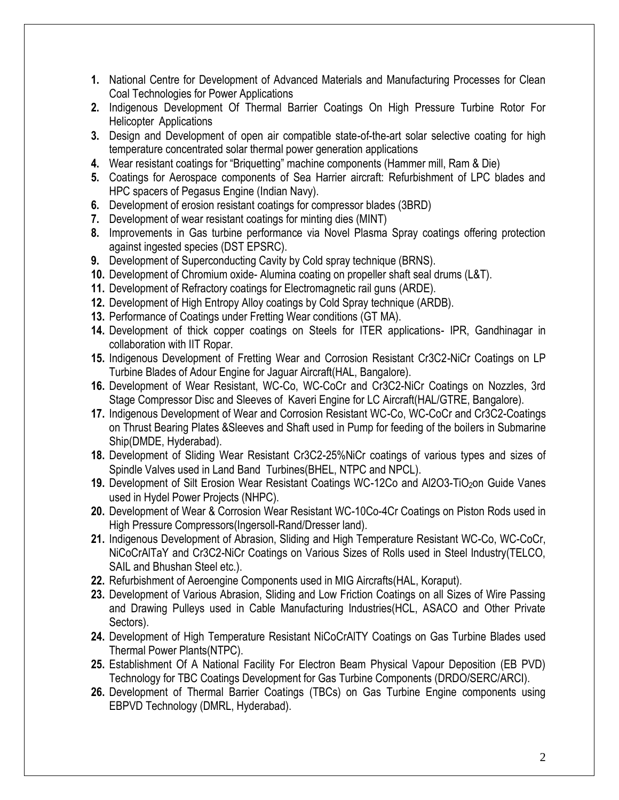- **1.** National Centre for Development of Advanced Materials and Manufacturing Processes for Clean Coal Technologies for Power Applications
- **2.** Indigenous Development Of Thermal Barrier Coatings On High Pressure Turbine Rotor For Helicopter Applications
- **3.** Design and Development of open air compatible state-of-the-art solar selective coating for high temperature concentrated solar thermal power generation applications
- **4.** Wear resistant coatings for "Briquetting" machine components (Hammer mill, Ram & Die)
- **5.** Coatings for Aerospace components of Sea Harrier aircraft: Refurbishment of LPC blades and HPC spacers of Pegasus Engine (Indian Navy).
- **6.** Development of erosion resistant coatings for compressor blades (3BRD)
- **7.** Development of wear resistant coatings for minting dies (MINT)
- **8.** Improvements in Gas turbine performance via Novel Plasma Spray coatings offering protection against ingested species (DST EPSRC).
- **9.** Development of Superconducting Cavity by Cold spray technique (BRNS).
- **10.** Development of Chromium oxide- Alumina coating on propeller shaft seal drums (L&T).
- **11.** Development of Refractory coatings for Electromagnetic rail guns (ARDE).
- **12.** Development of High Entropy Alloy coatings by Cold Spray technique (ARDB).
- **13.** Performance of Coatings under Fretting Wear conditions (GT MA).
- **14.** Development of thick copper coatings on Steels for ITER applications- IPR, Gandhinagar in collaboration with IIT Ropar.
- **15.** Indigenous Development of Fretting Wear and Corrosion Resistant Cr3C2-NiCr Coatings on LP Turbine Blades of Adour Engine for Jaguar Aircraft(HAL, Bangalore).
- **16.** Development of Wear Resistant, WC-Co, WC-CoCr and Cr3C2-NiCr Coatings on Nozzles, 3rd Stage Compressor Disc and Sleeves of Kaveri Engine for LC Aircraft(HAL/GTRE, Bangalore).
- **17.** Indigenous Development of Wear and Corrosion Resistant WC-Co, WC-CoCr and Cr3C2-Coatings on Thrust Bearing Plates &Sleeves and Shaft used in Pump for feeding of the boilers in Submarine Ship(DMDE, Hyderabad).
- **18.** Development of Sliding Wear Resistant Cr3C2-25%NiCr coatings of various types and sizes of Spindle Valves used in Land Band Turbines(BHEL, NTPC and NPCL).
- 19. Development of Silt Erosion Wear Resistant Coatings WC-12Co and Al2O3-TiO<sub>2</sub>on Guide Vanes used in Hydel Power Projects (NHPC).
- **20.** Development of Wear & Corrosion Wear Resistant WC-10Co-4Cr Coatings on Piston Rods used in High Pressure Compressors(Ingersoll-Rand/Dresser land).
- **21.** Indigenous Development of Abrasion, Sliding and High Temperature Resistant WC-Co, WC-CoCr, NiCoCrAlTaY and Cr3C2-NiCr Coatings on Various Sizes of Rolls used in Steel Industry(TELCO, SAIL and Bhushan Steel etc.).
- **22.** Refurbishment of Aeroengine Components used in MIG Aircrafts(HAL, Koraput).
- **23.** Development of Various Abrasion, Sliding and Low Friction Coatings on all Sizes of Wire Passing and Drawing Pulleys used in Cable Manufacturing Industries(HCL, ASACO and Other Private Sectors).
- **24.** Development of High Temperature Resistant NiCoCrAlTY Coatings on Gas Turbine Blades used Thermal Power Plants(NTPC).
- **25.** Establishment Of A National Facility For Electron Beam Physical Vapour Deposition (EB PVD) Technology for TBC Coatings Development for Gas Turbine Components (DRDO/SERC/ARCI).
- **26.** Development of Thermal Barrier Coatings (TBCs) on Gas Turbine Engine components using EBPVD Technology (DMRL, Hyderabad).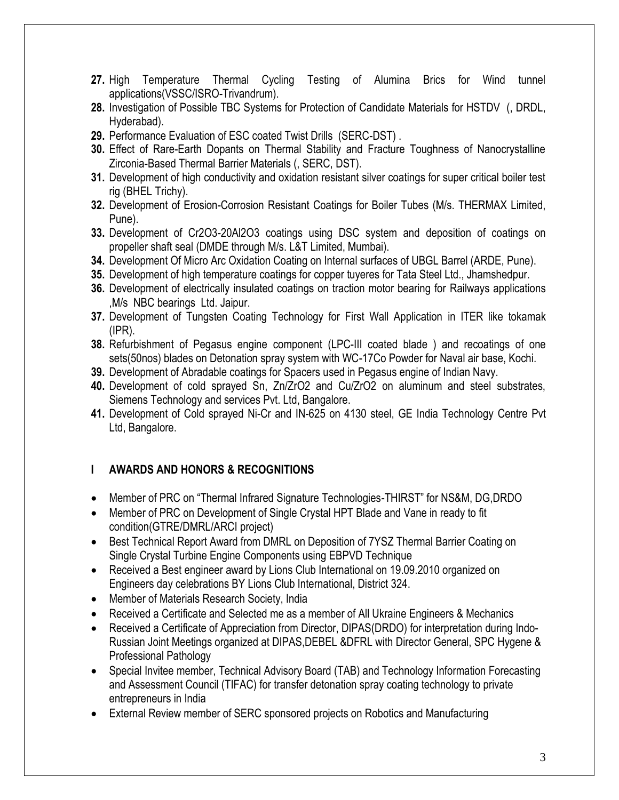- **27.** High Temperature Thermal Cycling Testing of Alumina Brics for Wind tunnel applications(VSSC/ISRO-Trivandrum).
- **28.** Investigation of Possible TBC Systems for Protection of Candidate Materials for HSTDV (, DRDL, Hyderabad).
- **29.** Performance Evaluation of ESC coated Twist Drills (SERC-DST) .
- **30.** Effect of Rare-Earth Dopants on Thermal Stability and Fracture Toughness of Nanocrystalline Zirconia-Based Thermal Barrier Materials (, SERC, DST).
- **31.** Development of high conductivity and oxidation resistant silver coatings for super critical boiler test rig (BHEL Trichy).
- **32.** Development of Erosion-Corrosion Resistant Coatings for Boiler Tubes (M/s. THERMAX Limited, Pune).
- **33.** Development of Cr2O3-20Al2O3 coatings using DSC system and deposition of coatings on propeller shaft seal (DMDE through M/s. L&T Limited, Mumbai).
- **34.** Development Of Micro Arc Oxidation Coating on Internal surfaces of UBGL Barrel (ARDE, Pune).
- **35.** Development of high temperature coatings for copper tuyeres for Tata Steel Ltd., Jhamshedpur.
- **36.** Development of electrically insulated coatings on traction motor bearing for Railways applications ,M/s NBC bearings Ltd. Jaipur.
- **37.** Development of Tungsten Coating Technology for First Wall Application in ITER like tokamak (IPR).
- **38.** Refurbishment of Pegasus engine component (LPC-III coated blade ) and recoatings of one sets(50nos) blades on Detonation spray system with WC-17Co Powder for Naval air base, Kochi.
- **39.** Development of Abradable coatings for Spacers used in Pegasus engine of Indian Navy.
- **40.** Development of cold sprayed Sn, Zn/ZrO2 and Cu/ZrO2 on aluminum and steel substrates, Siemens Technology and services Pvt. Ltd, Bangalore.
- **41.** Development of Cold sprayed Ni-Cr and IN-625 on 4130 steel, GE India Technology Centre Pvt Ltd, Bangalore.

## **I AWARDS AND HONORS & RECOGNITIONS**

- Member of PRC on "Thermal Infrared Signature Technologies-THIRST" for NS&M, DG,DRDO
- Member of PRC on Development of Single Crystal HPT Blade and Vane in ready to fit condition(GTRE/DMRL/ARCI project)
- Best Technical Report Award from DMRL on Deposition of 7YSZ Thermal Barrier Coating on Single Crystal Turbine Engine Components using EBPVD Technique
- Received a Best engineer award by Lions Club International on 19.09.2010 organized on Engineers day celebrations BY Lions Club International, District 324.
- Member of Materials Research Society, India
- Received a Certificate and Selected me as a member of All Ukraine Engineers & Mechanics
- Received a Certificate of Appreciation from Director, DIPAS(DRDO) for interpretation during Indo-Russian Joint Meetings organized at DIPAS,DEBEL &DFRL with Director General, SPC Hygene & Professional Pathology
- Special Invitee member, Technical Advisory Board (TAB) and Technology Information Forecasting and Assessment Council (TIFAC) for transfer detonation spray coating technology to private entrepreneurs in India
- External Review member of SERC sponsored projects on Robotics and Manufacturing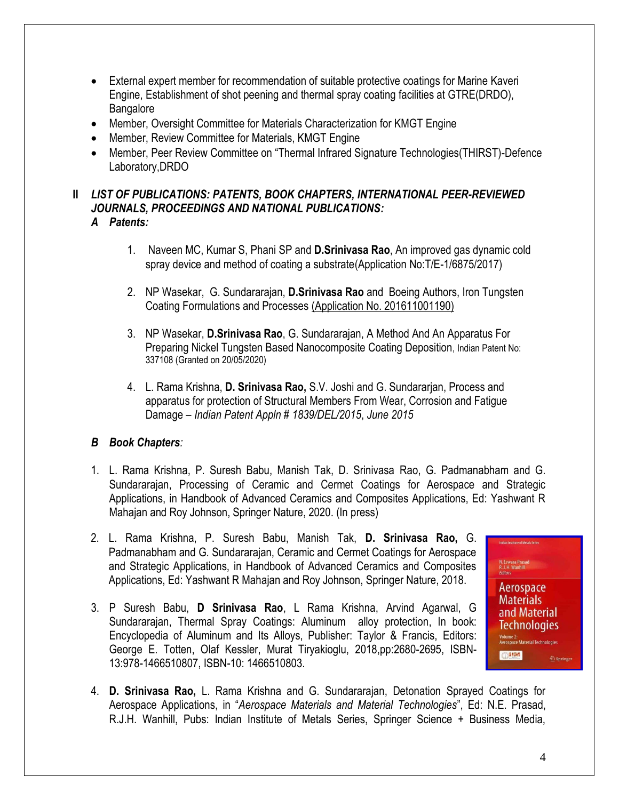- External expert member for recommendation of suitable protective coatings for Marine Kaveri Engine, Establishment of shot peening and thermal spray coating facilities at GTRE(DRDO), **Bangalore**
- Member, Oversight Committee for Materials Characterization for KMGT Engine
- Member, Review Committee for Materials, KMGT Engine
- Member, Peer Review Committee on "Thermal Infrared Signature Technologies(THIRST)-Defence Laboratory,DRDO

# **II** *LIST OF PUBLICATIONS: PATENTS, BOOK CHAPTERS, INTERNATIONAL PEER-REVIEWED JOURNALS, PROCEEDINGS AND NATIONAL PUBLICATIONS:*

- *A Patents:*
	- 1. Naveen MC, Kumar S, Phani SP and **D.Srinivasa Rao**, An improved gas dynamic cold spray device and method of coating a substrate(Application No:T/E-1/6875/2017)
	- 2. NP Wasekar, G. Sundararajan, **D.Srinivasa Rao** and Boeing Authors, Iron Tungsten Coating Formulations and Processes (Application No. 201611001190)
	- 3. NP Wasekar, **D.Srinivasa Rao**, G. Sundararajan, A Method And An Apparatus For Preparing Nickel Tungsten Based Nanocomposite Coating Deposition, Indian Patent No: 337108 (Granted on 20/05/2020)
	- 4. L. Rama Krishna, **D. Srinivasa Rao,** S.V. Joshi and G. Sundararjan, Process and apparatus for protection of Structural Members From Wear, Corrosion and Fatigue Damage – *Indian Patent Appln # 1839/DEL/2015*, *June 2015*

## *B Book Chapters:*

- 1. L. Rama Krishna, P. Suresh Babu, Manish Tak, D. Srinivasa Rao, G. Padmanabham and G. Sundararajan, Processing of Ceramic and Cermet Coatings for Aerospace and Strategic Applications, in Handbook of Advanced Ceramics and Composites Applications, Ed: Yashwant R Mahajan and Roy Johnson, Springer Nature, 2020. (In press)
- 2. L. Rama Krishna, P. Suresh Babu, Manish Tak, **D. Srinivasa Rao,** G. Padmanabham and G. Sundararajan, Ceramic and Cermet Coatings for Aerospace and Strategic Applications, in Handbook of Advanced Ceramics and Composites Applications, Ed: Yashwant R Mahajan and Roy Johnson, Springer Nature, 2018.
- 3. P Suresh Babu, **D Srinivasa Rao**, L Rama Krishna, Arvind Agarwal, G Sundararajan, Thermal Spray Coatings: Aluminum alloy protection, In book: Encyclopedia of Aluminum and Its Alloys, Publisher: Taylor & Francis, Editors: George E. Totten, Olaf Kessler, Murat Tiryakioglu, 2018,pp:2680-2695, ISBN-13:978-1466510807, ISBN-10: 1466510803.



4. **D. Srinivasa Rao,** L. Rama Krishna and G. Sundararajan, Detonation Sprayed Coatings for Aerospace Applications, in "*Aerospace Materials and Material Technologies*", Ed: N.E. Prasad, R.J.H. Wanhill, Pubs: Indian Institute of Metals Series, Springer Science + Business Media,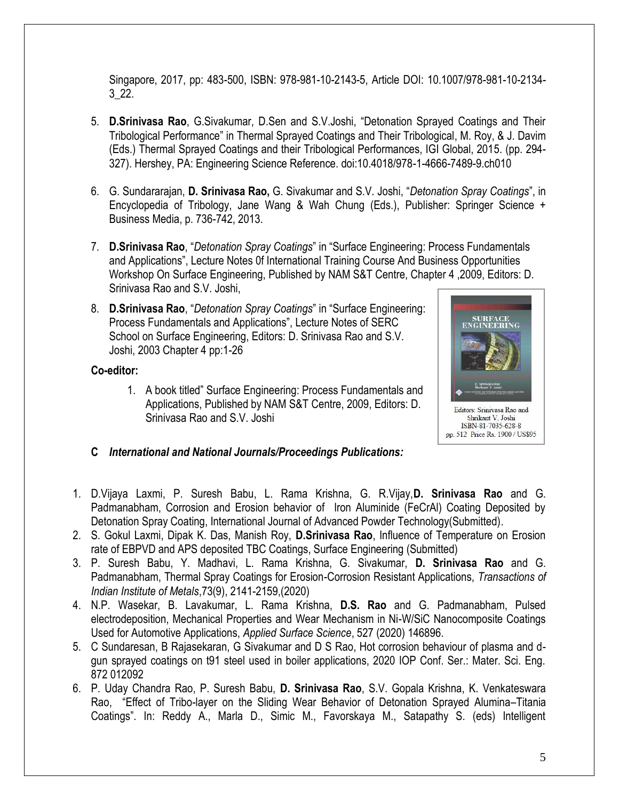Singapore, 2017, pp: 483-500, ISBN: 978-981-10-2143-5, Article DOI: 10.1007/978-981-10-2134- 3\_22.

- 5. **D.Srinivasa Rao**, G.Sivakumar, D.Sen and S.V.Joshi, "Detonation Sprayed Coatings and Their Tribological Performance" in Thermal Sprayed Coatings and Their Tribological, M. Roy, & J. Davim (Eds.) Thermal Sprayed Coatings and their Tribological Performances, IGI Global, 2015. (pp. 294- 327). Hershey, PA: Engineering Science Reference. doi:10.4018/978-1-4666-7489-9.ch010
- 6. G. Sundararajan, **D. Srinivasa Rao,** G. Sivakumar and S.V. Joshi, "*Detonation Spray Coatings*", in Encyclopedia of Tribology, Jane Wang & Wah Chung (Eds.), Publisher: Springer Science + Business Media, p. 736-742, 2013.
- 7. **D.Srinivasa Rao**, "*Detonation Spray Coatings*" in "Surface Engineering: Process Fundamentals and Applications", Lecture Notes 0f International Training Course And Business Opportunities Workshop On Surface Engineering, Published by NAM S&T Centre, Chapter 4 ,2009, Editors: D. Srinivasa Rao and S.V. Joshi,
- 8. **D.Srinivasa Rao**, "*Detonation Spray Coatings*" in "Surface Engineering: Process Fundamentals and Applications", Lecture Notes of SERC School on Surface Engineering, Editors: D. Srinivasa Rao and S.V. Joshi, 2003 Chapter 4 pp:1-26

### **Co-editor:**

1. A book titled" Surface Engineering: Process Fundamentals and Applications, Published by NAM S&T Centre, 2009, Editors: D. Srinivasa Rao and S.V. Joshi



- **C** *International and National Journals/Proceedings Publications:*
- 1. D.Vijaya Laxmi, P. Suresh Babu, L. Rama Krishna, G. R.Vijay,**D. Srinivasa Rao** and G. Padmanabham, Corrosion and Erosion behavior of Iron Aluminide (FeCrAl) Coating Deposited by Detonation Spray Coating, International Journal of Advanced Powder Technology(Submitted).
- 2. S. Gokul Laxmi, Dipak K. Das, Manish Roy, **D.Srinivasa Rao**, Influence of Temperature on Erosion rate of EBPVD and APS deposited TBC Coatings, Surface Engineering (Submitted)
- 3. P. Suresh Babu, Y. Madhavi, L. Rama Krishna, G. Sivakumar, **D. Srinivasa Rao** and G. Padmanabham, Thermal Spray Coatings for Erosion-Corrosion Resistant Applications, *Transactions of Indian Institute of Metals*,73(9), 2141-2159,(2020)
- 4. N.P. Wasekar, B. Lavakumar, L. Rama Krishna, **D.S. Rao** and G. Padmanabham, Pulsed electrodeposition, Mechanical Properties and Wear Mechanism in Ni-W/SiC Nanocomposite Coatings Used for Automotive Applications, *Applied Surface Science*, 527 (2020) 146896.
- 5. C Sundaresan, B Rajasekaran, G Sivakumar and D S Rao, Hot corrosion behaviour of plasma and dgun sprayed coatings on t91 steel used in boiler applications, 2020 IOP Conf. Ser.: Mater. Sci. Eng. 872 012092
- 6. P. Uday Chandra Rao, P. Suresh Babu, **D. Srinivasa Rao**, S.V. Gopala Krishna, K. Venkateswara Rao, "Effect of Tribo-layer on the Sliding Wear Behavior of Detonation Sprayed Alumina–Titania Coatings". In: Reddy A., Marla D., Simic M., Favorskaya M., Satapathy S. (eds) Intelligent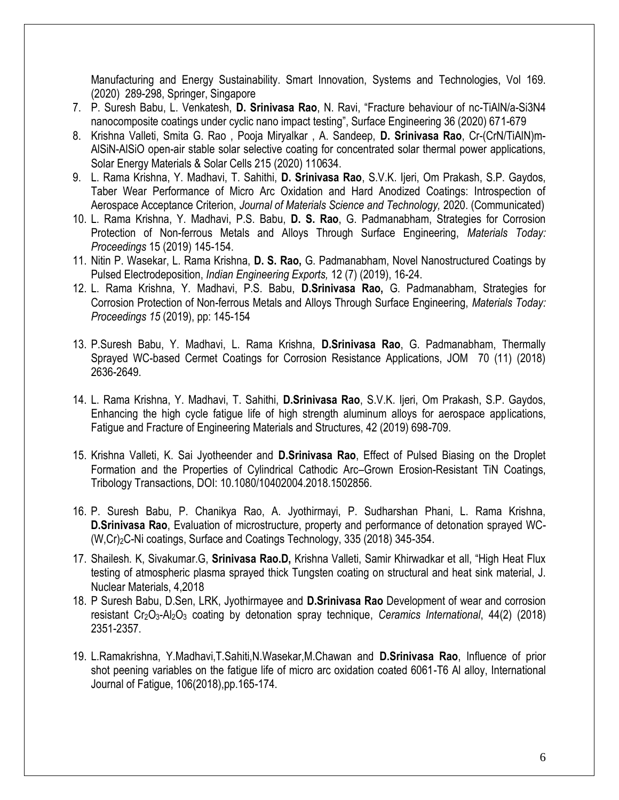Manufacturing and Energy Sustainability. Smart Innovation, Systems and Technologies, Vol 169. (2020) 289-298, Springer, Singapore

- 7. P. Suresh Babu, L. Venkatesh, **D. Srinivasa Rao**, N. Ravi, "Fracture behaviour of nc-TiAlN/a-Si3N4 nanocomposite coatings under cyclic nano impact testing", Surface Engineering 36 (2020) 671-679
- 8. Krishna Valleti, Smita G. Rao , Pooja Miryalkar , A. Sandeep, **D. Srinivasa Rao**, Cr-(CrN/TiAlN)m-AlSiN-AlSiO open-air stable solar selective coating for concentrated solar thermal power applications, Solar Energy Materials & Solar Cells 215 (2020) 110634.
- 9. L. Rama Krishna, Y. Madhavi, T. Sahithi, **D. Srinivasa Rao**, S.V.K. Ijeri, Om Prakash, S.P. Gaydos, Taber Wear Performance of Micro Arc Oxidation and Hard Anodized Coatings: Introspection of Aerospace Acceptance Criterion, *Journal of Materials Science and Technology,* 2020. (Communicated)
- 10. L. Rama Krishna, Y. Madhavi, P.S. Babu, **D. S. Rao**, G. Padmanabham, Strategies for Corrosion Protection of Non-ferrous Metals and Alloys Through Surface Engineering, *Materials Today: Proceedings* 15 (2019) 145-154.
- 11. Nitin P. Wasekar, L. Rama Krishna, **D. S. Rao,** G. Padmanabham, Novel Nanostructured Coatings by Pulsed Electrodeposition, *Indian Engineering Exports,* 12 (7) (2019), 16-24.
- 12. L. Rama Krishna, Y. Madhavi, P.S. Babu, **D.Srinivasa Rao,** G. Padmanabham, Strategies for Corrosion Protection of Non-ferrous Metals and Alloys Through Surface Engineering, *Materials Today: Proceedings 15* (2019), pp: 145-154
- 13. P.Suresh Babu, Y. Madhavi, L. Rama Krishna, **D.Srinivasa Rao**, G. Padmanabham, Thermally Sprayed WC-based Cermet Coatings for Corrosion Resistance Applications, JOM 70 (11) (2018) 2636-2649.
- 14. L. Rama Krishna, Y. Madhavi, T. Sahithi, **D.Srinivasa Rao**, S.V.K. Ijeri, Om Prakash, S.P. Gaydos, Enhancing the high cycle fatigue life of high strength aluminum alloys for aerospace applications, Fatigue and Fracture of Engineering Materials and Structures, 42 (2019) 698-709.
- 15. Krishna Valleti, K. Sai Jyotheender and **D.Srinivasa Rao**, Effect of Pulsed Biasing on the Droplet Formation and the Properties of Cylindrical Cathodic Arc–Grown Erosion-Resistant TiN Coatings, Tribology Transactions, DOI: 10.1080/10402004.2018.1502856.
- 16. P. Suresh Babu, P. Chanikya Rao, A. Jyothirmayi, P. Sudharshan Phani, L. Rama Krishna, **D.Srinivasa Rao**, Evaluation of microstructure, property and performance of detonation sprayed WC- (W,Cr)2C-Ni coatings, Surface and Coatings Technology, 335 (2018) 345-354.
- 17. Shailesh. K, Sivakumar.G, **Srinivasa Rao.D,** Krishna Valleti, Samir Khirwadkar et all, "High Heat Flux testing of atmospheric plasma sprayed thick Tungsten coating on structural and heat sink material, J. Nuclear Materials, 4,2018
- 18. P Suresh Babu, D.Sen, LRK, Jyothirmayee and **D.Srinivasa Rao** Development of wear and corrosion resistant Cr2O3-Al2O<sup>3</sup> coating by detonation spray technique, *Ceramics International*, 44(2) (2018) 2351-2357.
- 19. L.Ramakrishna, Y.Madhavi,T.Sahiti,N.Wasekar,M.Chawan and **D.Srinivasa Rao**, Influence of prior shot peening variables on the fatigue life of micro arc oxidation coated 6061-T6 Al alloy, International Journal of Fatigue, 106(2018),pp.165-174.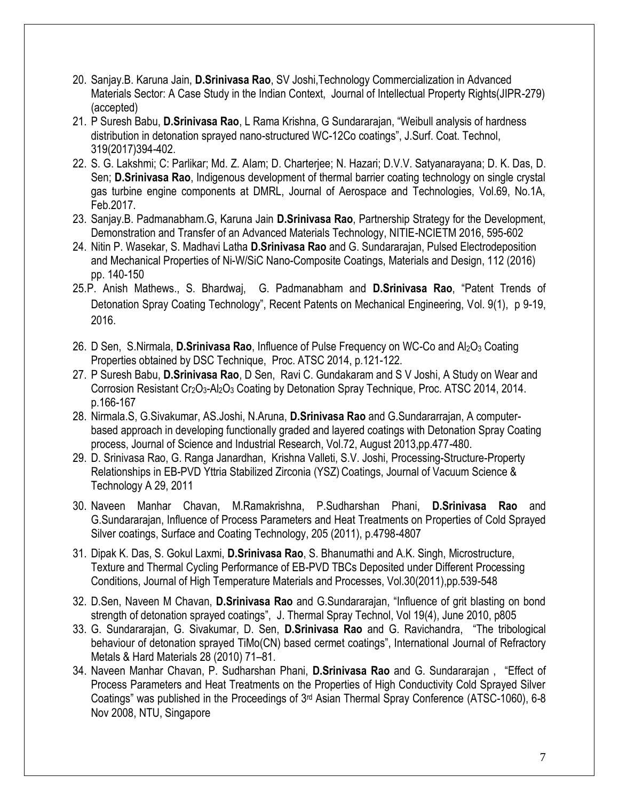- 20. Sanjay.B. Karuna Jain, **D.Srinivasa Rao**, SV Joshi,Technology Commercialization in Advanced Materials Sector: A Case Study in the Indian Context, Journal of Intellectual Property Rights(JIPR-279) (accepted)
- 21. P Suresh Babu, **D.Srinivasa Rao**, L Rama Krishna, G Sundararajan, "Weibull analysis of hardness distribution in detonation sprayed nano-structured WC-12Co coatings", J.Surf. Coat. Technol, 319(2017)394-402.
- 22. S. G. Lakshmi; C: Parlikar; Md. Z. AIam; D. Charterjee; N. Hazari; D.V.V. Satyanarayana; D. K. Das, D. Sen; **D.Srinivasa Rao**, Indigenous development of thermal barrier coating technology on single crystal gas turbine engine components at DMRL, Journal of Aerospace and Technologies, Vol.69, No.1A, Feb.2017.
- 23. Sanjay.B. Padmanabham.G, Karuna Jain **D.Srinivasa Rao**, Partnership Strategy for the Development, Demonstration and Transfer of an Advanced Materials Technology, NITIE-NCIETM 2016, 595-602
- 24. Nitin P. Wasekar, S. Madhavi Latha **D.Srinivasa Rao** and G. Sundararajan, Pulsed Electrodeposition and Mechanical Properties of Ni-W/SiC Nano-Composite Coatings, Materials and Design, 112 (2016) pp. 140-150
- 25.P. Anish Mathews., S. Bhardwaj, G. Padmanabham and **D.Srinivasa Rao**, "Patent Trends of Detonation Spray Coating Technology", Recent Patents on Mechanical Engineering, Vol. 9(1), p 9-19, 2016.
- 26. D Sen, S.Nirmala, **D.Srinivasa Rao**, Influence of Pulse Frequency on WC-Co and Al2O<sup>3</sup> Coating Properties obtained by DSC Technique, Proc. ATSC 2014, p.121-122.
- 27. P Suresh Babu, **D.Srinivasa Rao**, D Sen, Ravi C. Gundakaram and S V Joshi, A Study on Wear and Corrosion Resistant Cr<sub>2</sub>O<sub>3</sub>-Al<sub>2</sub>O<sub>3</sub> Coating by Detonation Spray Technique, Proc. ATSC 2014, 2014. p.166-167
- 28. Nirmala.S, G.Sivakumar, AS.Joshi, N.Aruna, **D.Srinivasa Rao** and G.Sundararrajan, A computerbased approach in developing functionally graded and layered coatings with Detonation Spray Coating process, Journal of Science and Industrial Research, Vol.72, August 2013,pp.477-480.
- 29. D. Srinivasa Rao, G. Ranga Janardhan, Krishna Valleti, S.V. Joshi, Processing-Structure-Property Relationships in EB-PVD Yttria Stabilized Zirconia (YSZ) Coatings, Journal of Vacuum Science & Technology A 29, 2011
- 30. Naveen Manhar Chavan, M.Ramakrishna, P.Sudharshan Phani, **D.Srinivasa Rao** and G.Sundararajan, Influence of Process Parameters and Heat Treatments on Properties of Cold Sprayed Silver coatings, Surface and Coating Technology, 205 (2011), p.4798-4807
- 31. Dipak K. Das, S. Gokul Laxmi, **D.Srinivasa Rao**, S. Bhanumathi and A.K. Singh, Microstructure, Texture and Thermal Cycling Performance of EB-PVD TBCs Deposited under Different Processing Conditions, Journal of High Temperature Materials and Processes, Vol.30(2011),pp.539-548
- 32. D.Sen, Naveen M Chavan, **D.Srinivasa Rao** and G.Sundararajan, "Influence of grit blasting on bond strength of detonation sprayed coatings", J. Thermal Spray Technol, Vol 19(4), June 2010, p805
- 33. G. Sundararajan, G. Sivakumar, D. Sen, **D.Srinivasa Rao** and G. Ravichandra, "The tribological behaviour of detonation sprayed TiMo(CN) based cermet coatings", International Journal of Refractory Metals & Hard Materials 28 (2010) 71–81.
- 34. Naveen Manhar Chavan, P. Sudharshan Phani, **D.Srinivasa Rao** and G. Sundararajan , "Effect of Process Parameters and Heat Treatments on the Properties of High Conductivity Cold Sprayed Silver Coatings" was published in the Proceedings of 3rd Asian Thermal Spray Conference (ATSC-1060), 6-8 Nov 2008, NTU, Singapore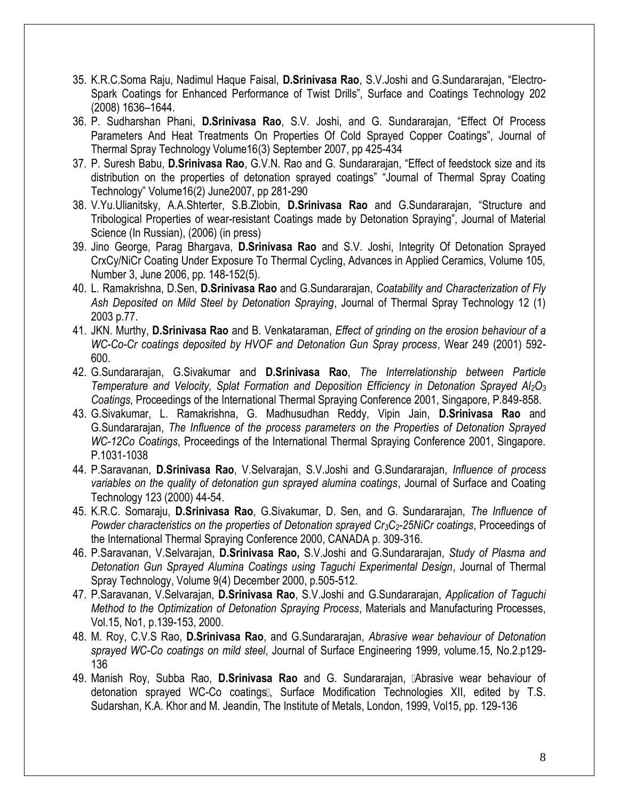- 35. K.R.C.Soma Raju, Nadimul Haque Faisal, **D.Srinivasa Rao**, S.V.Joshi and G.Sundararajan, "Electro-Spark Coatings for Enhanced Performance of Twist Drills", Surface and Coatings Technology 202 (2008) 1636–1644.
- 36. P. Sudharshan Phani, **D.Srinivasa Rao**, S.V. Joshi, and G. Sundararajan, "Effect Of Process Parameters And Heat Treatments On Properties Of Cold Sprayed Copper Coatings", Journal of Thermal Spray Technology Volume16(3) September 2007, pp 425-434
- 37. P. Suresh Babu, **D.Srinivasa Rao**, G.V.N. Rao and G. Sundararajan, "Effect of feedstock size and its distribution on the properties of detonation sprayed coatings" "Journal of Thermal Spray Coating Technology" Volume16(2) June2007, pp 281-290
- 38. V.Yu.Ulianitsky, A.A.Shterter, S.B.Zlobin, **D.Srinivasa Rao** and G.Sundararajan, "Structure and Tribological Properties of wear-resistant Coatings made by Detonation Spraying", Journal of Material Science (In Russian), (2006) (in press)
- 39. Jino George, Parag Bhargava, **D.Srinivasa Rao** and S.V. Joshi, Integrity Of Detonation Sprayed CrxCy/NiCr Coating Under Exposure To Thermal Cycling, Advances in Applied Ceramics, Volume 105, Number 3, June 2006, pp. 148-152(5).
- 40. L. Ramakrishna, D.Sen, **D.Srinivasa Rao** and G.Sundararajan, *Coatability and Characterization of Fly Ash Deposited on Mild Steel by Detonation Spraying*, Journal of Thermal Spray Technology 12 (1) 2003 p.77.
- 41. JKN. Murthy, **D.Srinivasa Rao** and B. Venkataraman, *Effect of grinding on the erosion behaviour of a WC-Co-Cr coatings deposited by HVOF and Detonation Gun Spray process*, Wear 249 (2001) 592- 600.
- 42. G.Sundararajan, G.Sivakumar and **D.Srinivasa Rao**, *The Interrelationship between Particle Temperature and Velocity, Splat Formation and Deposition Efficiency in Detonation Sprayed Al2O<sup>3</sup> Coatings*, Proceedings of the International Thermal Spraying Conference 2001, Singapore, P.849-858.
- 43. G.Sivakumar, L. Ramakrishna, G. Madhusudhan Reddy, Vipin Jain, **D.Srinivasa Rao** and G.Sundararajan, *The Influence of the process parameters on the Properties of Detonation Sprayed WC-12Co Coatings*, Proceedings of the International Thermal Spraying Conference 2001, Singapore. P.1031-1038
- 44. P.Saravanan, **D.Srinivasa Rao**, V.Selvarajan, S.V.Joshi and G.Sundararajan, *Influence of process variables on the quality of detonation gun sprayed alumina coatings*, Journal of Surface and Coating Technology 123 (2000) 44-54.
- 45. K.R.C. Somaraju, **D.Srinivasa Rao**, G.Sivakumar, D. Sen, and G. Sundararajan, *The Influence of Powder characteristics on the properties of Detonation sprayed Cr3C2-25NiCr coatings*, Proceedings of the International Thermal Spraying Conference 2000, CANADA p. 309-316.
- 46. P.Saravanan, V.Selvarajan, **D.Srinivasa Rao,** S.V.Joshi and G.Sundararajan, *Study of Plasma and Detonation Gun Sprayed Alumina Coatings using Taguchi Experimental Design*, Journal of Thermal Spray Technology, Volume 9(4) December 2000, p.505-512.
- 47. P.Saravanan, V.Selvarajan, **D.Srinivasa Rao**, S.V.Joshi and G.Sundararajan, *Application of Taguchi Method to the Optimization of Detonation Spraying Process*, Materials and Manufacturing Processes, Vol.15, No1, p.139-153, 2000.
- 48. M. Roy, C.V.S Rao, **D.Srinivasa Rao**, and G.Sundararajan, *Abrasive wear behaviour of Detonation sprayed WC-Co coatings on mild steel*, Journal of Surface Engineering 1999, volume.15, No.2.p129- 136
- 49. Manish Roy, Subba Rao, **D.Srinivasa Rao** and G. Sundararajan, Abrasive wear behaviour of detonation sprayed WC-Co coatings , Surface Modification Technologies XII, edited by T.S. Sudarshan, K.A. Khor and M. Jeandin, The Institute of Metals, London, 1999, Vol15, pp. 129-136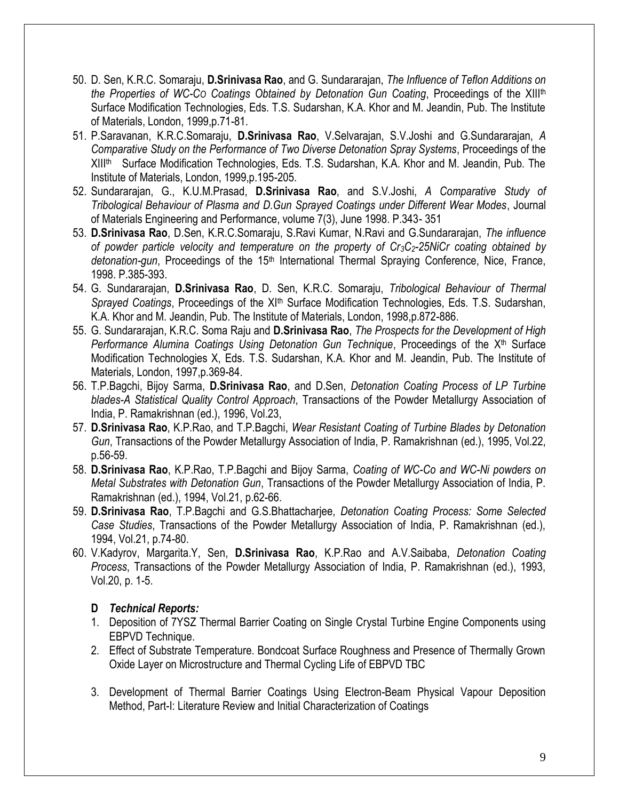- 50. D. Sen, K.R.C. Somaraju, **D.Srinivasa Rao**, and G. Sundararajan, *The Influence of Teflon Additions on the Properties of WC-CO Coatings Obtained by Detonation Gun Coating*, Proceedings of the XIIIth Surface Modification Technologies, Eds. T.S. Sudarshan, K.A. Khor and M. Jeandin, Pub. The Institute of Materials, London, 1999,p.71-81.
- 51. P.Saravanan, K.R.C.Somaraju, **D.Srinivasa Rao**, V.Selvarajan, S.V.Joshi and G.Sundararajan, *A Comparative Study on the Performance of Two Diverse Detonation Spray Systems*, Proceedings of the XIII<sup>th</sup> Surface Modification Technologies, Eds. T.S. Sudarshan, K.A. Khor and M. Jeandin, Pub. The Institute of Materials, London, 1999,p.195-205.
- 52. Sundararajan, G., K.U.M.Prasad, **D.Srinivasa Rao**, and S.V.Joshi, *A Comparative Study of Tribological Behaviour of Plasma and D.Gun Sprayed Coatings under Different Wear Modes*, Journal of Materials Engineering and Performance, volume 7(3), June 1998. P.343- 351
- 53. **D.Srinivasa Rao**, D.Sen, K.R.C.Somaraju, S.Ravi Kumar, N.Ravi and G.Sundararajan, *The influence of powder particle velocity and temperature on the property of Cr3C2-25NiCr coating obtained by*  detonation-gun, Proceedings of the 15<sup>th</sup> International Thermal Spraying Conference, Nice, France, 1998. P.385-393.
- 54. G. Sundararajan, **D.Srinivasa Rao**, D. Sen, K.R.C. Somaraju, *Tribological Behaviour of Thermal*  Sprayed Coatings, Proceedings of the XI<sup>th</sup> Surface Modification Technologies, Eds. T.S. Sudarshan, K.A. Khor and M. Jeandin, Pub. The Institute of Materials, London, 1998,p.872-886.
- 55. G. Sundararajan, K.R.C. Soma Raju and **D.Srinivasa Rao**, *The Prospects for the Development of High Performance Alumina Coatings Using Detonation Gun Technique, Proceedings of the X<sup>th</sup> Surface* Modification Technologies X, Eds. T.S. Sudarshan, K.A. Khor and M. Jeandin, Pub. The Institute of Materials, London, 1997,p.369-84.
- 56. T.P.Bagchi, Bijoy Sarma, **D.Srinivasa Rao**, and D.Sen, *Detonation Coating Process of LP Turbine blades-A Statistical Quality Control Approach*, Transactions of the Powder Metallurgy Association of India, P. Ramakrishnan (ed.), 1996, Vol.23,
- 57. **D.Srinivasa Rao**, K.P.Rao, and T.P.Bagchi, *Wear Resistant Coating of Turbine Blades by Detonation Gun*, Transactions of the Powder Metallurgy Association of India, P. Ramakrishnan (ed.), 1995, Vol.22, p.56-59.
- 58. **D.Srinivasa Rao**, K.P.Rao, T.P.Bagchi and Bijoy Sarma, *Coating of WC-Co and WC-Ni powders on Metal Substrates with Detonation Gun*, Transactions of the Powder Metallurgy Association of India, P. Ramakrishnan (ed.), 1994, Vol.21, p.62-66.
- 59. **D.Srinivasa Rao**, T.P.Bagchi and G.S.Bhattacharjee, *Detonation Coating Process: Some Selected Case Studies*, Transactions of the Powder Metallurgy Association of India, P. Ramakrishnan (ed.), 1994, Vol.21, p.74-80.
- 60. V.Kadyrov, Margarita.Y, Sen, **D.Srinivasa Rao**, K.P.Rao and A.V.Saibaba, *Detonation Coating Process*, Transactions of the Powder Metallurgy Association of India, P. Ramakrishnan (ed.), 1993, Vol.20, p. 1-5.

## **D** *Technical Reports:*

- 1. Deposition of 7YSZ Thermal Barrier Coating on Single Crystal Turbine Engine Components using EBPVD Technique.
- 2. Effect of Substrate Temperature. Bondcoat Surface Roughness and Presence of Thermally Grown Oxide Layer on Microstructure and Thermal Cycling Life of EBPVD TBC
- 3. Development of Thermal Barrier Coatings Using Electron-Beam Physical Vapour Deposition Method, Part-I: Literature Review and Initial Characterization of Coatings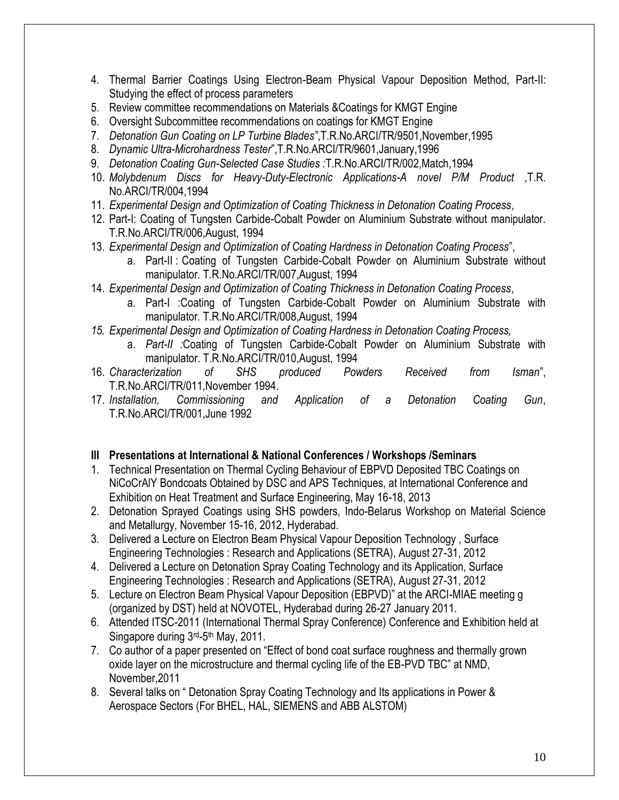- 4. Thermal Barrier Coatings Using Electron-Beam Physical Vapour Deposition Method, Part-II: Studying the effect of process parameters
- 5. Review committee recommendations on Materials &Coatings for KMGT Engine
- 6. Oversight Subcommittee recommendations on coatings for KMGT Engine
- 7. *Detonation Gun Coating on LP Turbine Blades"*,T.R.No.ARCI/TR/9501,November,1995
- 8. *Dynamic Ultra-Microhardness Tester*",T.R.No.ARCI/TR/9601,January,1996
- 9. *Detonation Coating Gun-Selected Case Studies :*T.R.No.ARCI/TR/002,Match,1994
- 10. *Molybdenum Discs for Heavy-Duty-Electronic Applications-A novel P/M Product* ,T.R. No.ARCI/TR/004,1994
- 11. *Experimental Design and Optimization of Coating Thickness in Detonation Coating Process*,
- 12. Part-I: Coating of Tungsten Carbide-Cobalt Powder on Aluminium Substrate without manipulator. T.R.No.ARCI/TR/006,August, 1994
- 13. *Experimental Design and Optimization of Coating Hardness in Detonation Coating Process*",
	- a. Part-II : Coating of Tungsten Carbide-Cobalt Powder on Aluminium Substrate without manipulator. T.R.No.ARCI/TR/007,August, 1994
- 14. *Experimental Design and Optimization of Coating Thickness in Detonation Coating Process*,
	- a. Part-I :Coating of Tungsten Carbide-Cobalt Powder on Aluminium Substrate with manipulator. T.R.No.ARCI/TR/008,August, 1994
- *15. Experimental Design and Optimization of Coating Hardness in Detonation Coating Process,*
	- a. *Part-II :*Coating of Tungsten Carbide-Cobalt Powder on Aluminium Substrate with manipulator. T.R.No.ARCI/TR/010,August, 1994
- 16. *Characterization of SHS produced Powders Received from Isman*", T.R.No.ARCI/TR/011,November 1994.
- 17. *Installation, Commissioning and Application of a Detonation Coating Gun*, T.R.No.ARCI/TR/001,June 1992

## **III Presentations at International & National Conferences / Workshops /Seminars**

- 1. Technical Presentation on Thermal Cycling Behaviour of EBPVD Deposited TBC Coatings on NiCoCrAlY Bondcoats Obtained by DSC and APS Techniques, at International Conference and Exhibition on Heat Treatment and Surface Engineering, May 16-18, 2013
- 2. Detonation Sprayed Coatings using SHS powders, Indo-Belarus Workshop on Material Science and Metallurgy, November 15-16, 2012, Hyderabad.
- 3. Delivered a Lecture on Electron Beam Physical Vapour Deposition Technology , Surface Engineering Technologies : Research and Applications (SETRA), August 27-31, 2012
- 4. Delivered a Lecture on Detonation Spray Coating Technology and its Application, Surface Engineering Technologies : Research and Applications (SETRA), August 27-31, 2012
- 5. Lecture on Electron Beam Physical Vapour Deposition (EBPVD)" at the ARCI-MIAE meeting g (organized by DST) held at NOVOTEL, Hyderabad during 26-27 January 2011.
- 6. Attended ITSC-2011 (International Thermal Spray Conference) Conference and Exhibition held at Singapore during 3<sup>rd</sup>-5<sup>th</sup> May, 2011.
- 7. Co author of a paper presented on "Effect of bond coat surface roughness and thermally grown oxide layer on the microstructure and thermal cycling life of the EB-PVD TBC" at NMD, November,2011
- 8. Several talks on " Detonation Spray Coating Technology and Its applications in Power & Aerospace Sectors (For BHEL, HAL, SIEMENS and ABB ALSTOM)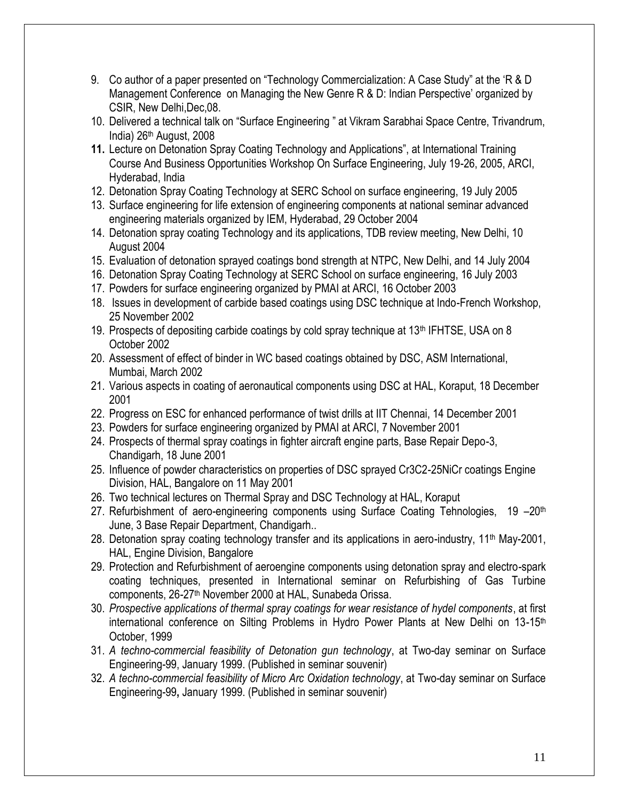- 9. Co author of a paper presented on "Technology Commercialization: A Case Study" at the 'R & D Management Conference on Managing the New Genre R & D: Indian Perspective' organized by CSIR, New Delhi,Dec,08.
- 10. Delivered a technical talk on "Surface Engineering " at Vikram Sarabhai Space Centre, Trivandrum, India) 26th August, 2008
- **11.** Lecture on Detonation Spray Coating Technology and Applications", at International Training Course And Business Opportunities Workshop On Surface Engineering, July 19-26, 2005, ARCI, Hyderabad, India
- 12. Detonation Spray Coating Technology at SERC School on surface engineering, 19 July 2005
- 13. Surface engineering for life extension of engineering components at national seminar advanced engineering materials organized by IEM, Hyderabad, 29 October 2004
- 14. Detonation spray coating Technology and its applications, TDB review meeting, New Delhi, 10 August 2004
- 15. Evaluation of detonation sprayed coatings bond strength at NTPC, New Delhi, and 14 July 2004
- 16. Detonation Spray Coating Technology at SERC School on surface engineering, 16 July 2003
- 17. Powders for surface engineering organized by PMAI at ARCI, 16 October 2003
- 18. Issues in development of carbide based coatings using DSC technique at Indo-French Workshop, 25 November 2002
- 19. Prospects of depositing carbide coatings by cold spray technique at  $13<sup>th</sup>$  IFHTSE, USA on 8 October 2002
- 20. Assessment of effect of binder in WC based coatings obtained by DSC, ASM International, Mumbai, March 2002
- 21. Various aspects in coating of aeronautical components using DSC at HAL, Koraput, 18 December 2001
- 22. Progress on ESC for enhanced performance of twist drills at IIT Chennai, 14 December 2001
- 23. Powders for surface engineering organized by PMAI at ARCI, 7 November 2001
- 24. Prospects of thermal spray coatings in fighter aircraft engine parts, Base Repair Depo-3, Chandigarh, 18 June 2001
- 25. Influence of powder characteristics on properties of DSC sprayed Cr3C2-25NiCr coatings Engine Division, HAL, Bangalore on 11 May 2001
- 26. Two technical lectures on Thermal Spray and DSC Technology at HAL, Koraput
- 27. Refurbishment of aero-engineering components using Surface Coating Tehnologies, 19 -20<sup>th</sup> June, 3 Base Repair Department, Chandigarh..
- 28. Detonation spray coating technology transfer and its applications in aero-industry, 11<sup>th</sup> May-2001, HAL, Engine Division, Bangalore
- 29. Protection and Refurbishment of aeroengine components using detonation spray and electro-spark coating techniques, presented in International seminar on Refurbishing of Gas Turbine components, 26-27<sup>th</sup> November 2000 at HAL, Sunabeda Orissa.
- 30. *Prospective applications of thermal spray coatings for wear resistance of hydel components*, at first international conference on Silting Problems in Hydro Power Plants at New Delhi on  $13{\text -}15^{\text{th}}$ October, 1999
- 31. *A techno-commercial feasibility of Detonation gun technology*, at Two-day seminar on Surface Engineering-99, January 1999. (Published in seminar souvenir)
- 32. *A techno-commercial feasibility of Micro Arc Oxidation technology*, at Two-day seminar on Surface Engineering-99**,** January 1999. (Published in seminar souvenir)